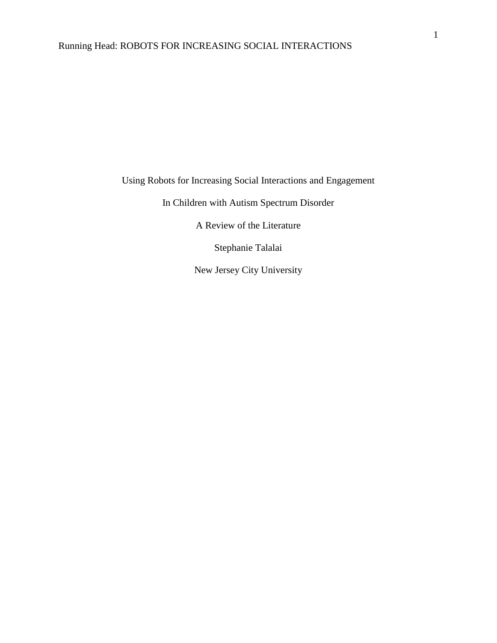Using Robots for Increasing Social Interactions and Engagement

In Children with Autism Spectrum Disorder

A Review of the Literature

Stephanie Talalai

New Jersey City University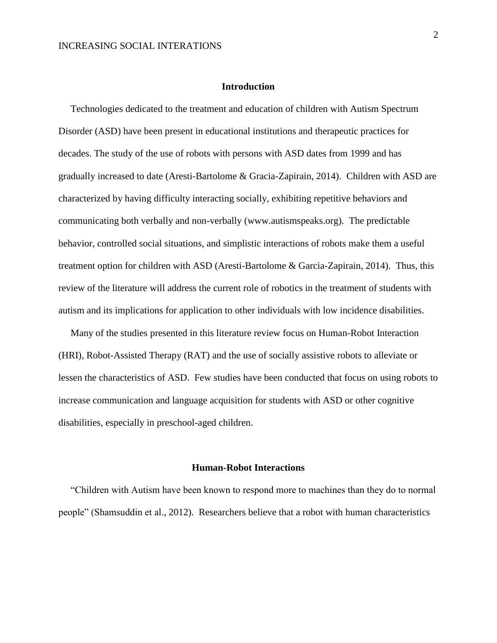## **Introduction**

 Technologies dedicated to the treatment and education of children with Autism Spectrum Disorder (ASD) have been present in educational institutions and therapeutic practices for decades. The study of the use of robots with persons with ASD dates from 1999 and has gradually increased to date (Aresti-Bartolome & Gracia-Zapirain, 2014). Children with ASD are characterized by having difficulty interacting socially, exhibiting repetitive behaviors and communicating both verbally and non-verbally (www.autismspeaks.org). The predictable behavior, controlled social situations, and simplistic interactions of robots make them a useful treatment option for children with ASD (Aresti-Bartolome & Garcia-Zapirain, 2014). Thus, this review of the literature will address the current role of robotics in the treatment of students with autism and its implications for application to other individuals with low incidence disabilities.

 Many of the studies presented in this literature review focus on Human-Robot Interaction (HRI), Robot-Assisted Therapy (RAT) and the use of socially assistive robots to alleviate or lessen the characteristics of ASD. Few studies have been conducted that focus on using robots to increase communication and language acquisition for students with ASD or other cognitive disabilities, especially in preschool-aged children.

## **Human-Robot Interactions**

 "Children with Autism have been known to respond more to machines than they do to normal people" (Shamsuddin et al., 2012). Researchers believe that a robot with human characteristics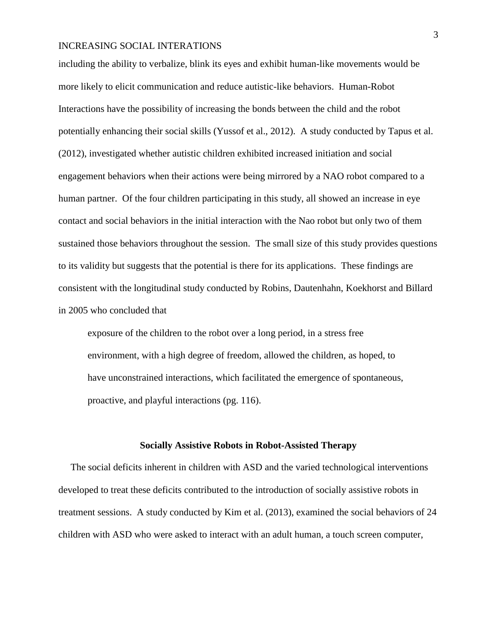## INCREASING SOCIAL INTERATIONS

including the ability to verbalize, blink its eyes and exhibit human-like movements would be more likely to elicit communication and reduce autistic-like behaviors. Human-Robot Interactions have the possibility of increasing the bonds between the child and the robot potentially enhancing their social skills (Yussof et al., 2012). A study conducted by Tapus et al. (2012), investigated whether autistic children exhibited increased initiation and social engagement behaviors when their actions were being mirrored by a NAO robot compared to a human partner. Of the four children participating in this study, all showed an increase in eye contact and social behaviors in the initial interaction with the Nao robot but only two of them sustained those behaviors throughout the session. The small size of this study provides questions to its validity but suggests that the potential is there for its applications. These findings are consistent with the longitudinal study conducted by Robins, Dautenhahn, Koekhorst and Billard in 2005 who concluded that

exposure of the children to the robot over a long period, in a stress free environment, with a high degree of freedom, allowed the children, as hoped, to have unconstrained interactions, which facilitated the emergence of spontaneous, proactive, and playful interactions (pg. 116).

#### **Socially Assistive Robots in Robot-Assisted Therapy**

 The social deficits inherent in children with ASD and the varied technological interventions developed to treat these deficits contributed to the introduction of socially assistive robots in treatment sessions. A study conducted by Kim et al. (2013), examined the social behaviors of 24 children with ASD who were asked to interact with an adult human, a touch screen computer,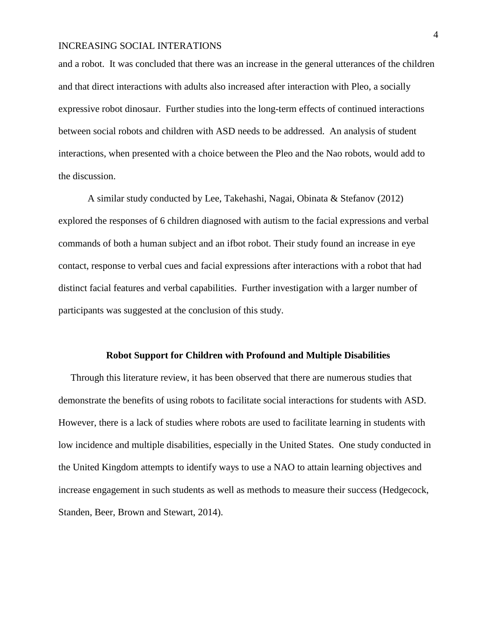## INCREASING SOCIAL INTERATIONS

and a robot. It was concluded that there was an increase in the general utterances of the children and that direct interactions with adults also increased after interaction with Pleo, a socially expressive robot dinosaur. Further studies into the long-term effects of continued interactions between social robots and children with ASD needs to be addressed. An analysis of student interactions, when presented with a choice between the Pleo and the Nao robots, would add to the discussion.

A similar study conducted by Lee, Takehashi, Nagai, Obinata & Stefanov (2012) explored the responses of 6 children diagnosed with autism to the facial expressions and verbal commands of both a human subject and an ifbot robot. Their study found an increase in eye contact, response to verbal cues and facial expressions after interactions with a robot that had distinct facial features and verbal capabilities. Further investigation with a larger number of participants was suggested at the conclusion of this study.

#### **Robot Support for Children with Profound and Multiple Disabilities**

Through this literature review, it has been observed that there are numerous studies that demonstrate the benefits of using robots to facilitate social interactions for students with ASD. However, there is a lack of studies where robots are used to facilitate learning in students with low incidence and multiple disabilities, especially in the United States. One study conducted in the United Kingdom attempts to identify ways to use a NAO to attain learning objectives and increase engagement in such students as well as methods to measure their success (Hedgecock, Standen, Beer, Brown and Stewart, 2014).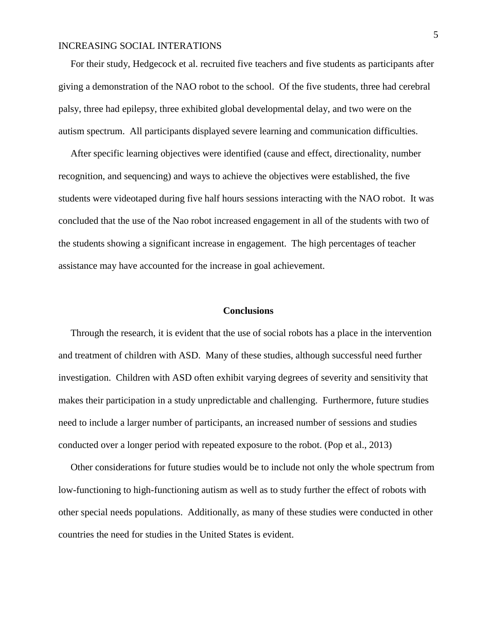# INCREASING SOCIAL INTERATIONS

 For their study, Hedgecock et al. recruited five teachers and five students as participants after giving a demonstration of the NAO robot to the school. Of the five students, three had cerebral palsy, three had epilepsy, three exhibited global developmental delay, and two were on the autism spectrum. All participants displayed severe learning and communication difficulties.

 After specific learning objectives were identified (cause and effect, directionality, number recognition, and sequencing) and ways to achieve the objectives were established, the five students were videotaped during five half hours sessions interacting with the NAO robot. It was concluded that the use of the Nao robot increased engagement in all of the students with two of the students showing a significant increase in engagement. The high percentages of teacher assistance may have accounted for the increase in goal achievement.

## **Conclusions**

 Through the research, it is evident that the use of social robots has a place in the intervention and treatment of children with ASD. Many of these studies, although successful need further investigation. Children with ASD often exhibit varying degrees of severity and sensitivity that makes their participation in a study unpredictable and challenging. Furthermore, future studies need to include a larger number of participants, an increased number of sessions and studies conducted over a longer period with repeated exposure to the robot. (Pop et al., 2013)

 Other considerations for future studies would be to include not only the whole spectrum from low-functioning to high-functioning autism as well as to study further the effect of robots with other special needs populations. Additionally, as many of these studies were conducted in other countries the need for studies in the United States is evident.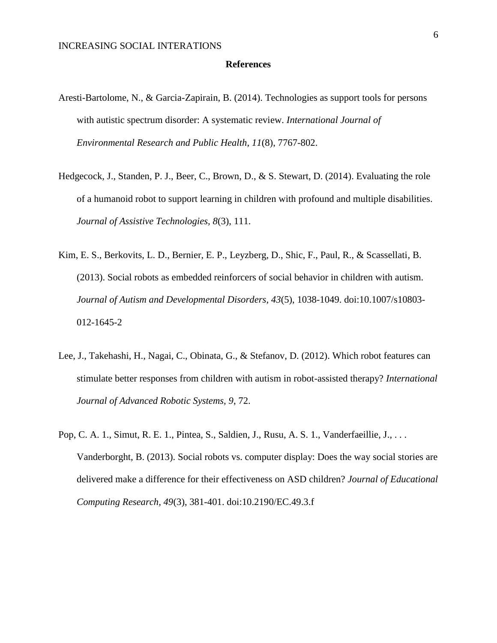### **References**

- Aresti-Bartolome, N., & Garcia-Zapirain, B. (2014). Technologies as support tools for persons with autistic spectrum disorder: A systematic review. *International Journal of Environmental Research and Public Health, 11*(8), 7767-802.
- Hedgecock, J., Standen, P. J., Beer, C., Brown, D., & S. Stewart, D. (2014). Evaluating the role of a humanoid robot to support learning in children with profound and multiple disabilities. *Journal of Assistive Technologies, 8*(3), 111.
- Kim, E. S., Berkovits, L. D., Bernier, E. P., Leyzberg, D., Shic, F., Paul, R., & Scassellati, B. (2013). Social robots as embedded reinforcers of social behavior in children with autism. *Journal of Autism and Developmental Disorders, 43*(5), 1038-1049. doi:10.1007/s10803- 012-1645-2
- Lee, J., Takehashi, H., Nagai, C., Obinata, G., & Stefanov, D. (2012). Which robot features can stimulate better responses from children with autism in robot-assisted therapy? *International Journal of Advanced Robotic Systems, 9*, 72.
- Pop, C. A. 1., Simut, R. E. 1., Pintea, S., Saldien, J., Rusu, A. S. 1., Vanderfaeillie, J., . . . Vanderborght, B. (2013). Social robots vs. computer display: Does the way social stories are delivered make a difference for their effectiveness on ASD children? *Journal of Educational Computing Research, 49*(3), 381-401. doi:10.2190/EC.49.3.f